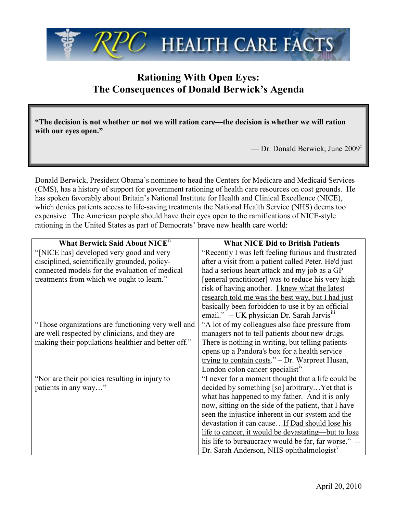

## **Rationing With Open Eyes: The Consequences of Donald Berwick's Agenda**

**"The decision is not whether or not we will ration care—the decision is whether we will ration with our eyes open."**

— Dr. Donald Berwick, June 2009[i](#page-1-0)

Donald Berwick, President Obama's nominee to head the Centers for Medicare and Medicaid Services (CMS), has a history of support for government rationing of health care resources on cost grounds. He has spoken favorably about Britain's National Institute for Health and Clinical Excellence (NICE), which denies patients access to life-saving treatments the National Health Service (NHS) deems too expensive. The American people should have their eyes open to the ramifications of NICE-style rationing in the United States as part of Democrats' brave new health care world:

| What Berwick Said About NICE <sup>11</sup>          | <b>What NICE Did to British Patients</b>                 |
|-----------------------------------------------------|----------------------------------------------------------|
| "[NICE has] developed very good and very            | "Recently I was left feeling furious and frustrated      |
| disciplined, scientifically grounded, policy-       | after a visit from a patient called Peter. He'd just     |
| connected models for the evaluation of medical      | had a serious heart attack and my job as a GP            |
| treatments from which we ought to learn."           | [general practitioner] was to reduce his very high       |
|                                                     | risk of having another. I knew what the latest           |
|                                                     | research told me was the best way, but I had just        |
|                                                     | basically been forbidden to use it by an official        |
|                                                     | email." -- UK physician Dr. Sarah Jarvis <sup>111</sup>  |
| "Those organizations are functioning very well and  | "A lot of my colleagues also face pressure from          |
| are well respected by clinicians, and they are      | managers not to tell patients about new drugs.           |
| making their populations healthier and better off." | There is nothing in writing, but telling patients        |
|                                                     | opens up a Pandora's box for a health service            |
|                                                     | trying to contain costs." - Dr. Warpreet Husan,          |
|                                                     | London colon cancer specialist <sup><math>v</math></sup> |
| "Nor are their policies resulting in injury to      | "I never for a moment thought that a life could be       |
| patients in any way"                                | decided by something [so] arbitrary Yet that is          |
|                                                     | what has happened to my father. And it is only           |
|                                                     | now, sitting on the side of the patient, that I have     |
|                                                     | seen the injustice inherent in our system and the        |
|                                                     | devastation it can causeIf Dad should lose his           |
|                                                     | life to cancer, it would be devastating—but to lose      |
|                                                     | his life to bureaucracy would be far, far worse."        |
|                                                     | Dr. Sarah Anderson, NHS ophthalmologist <sup>v</sup>     |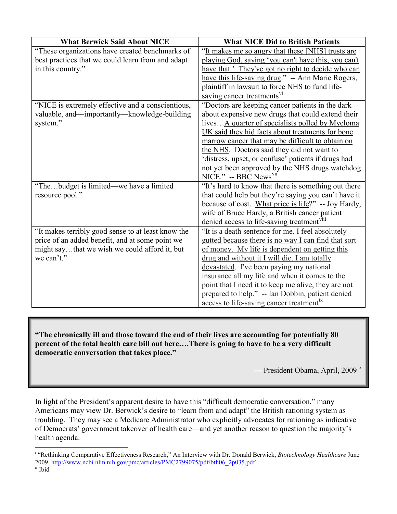| <b>What Berwick Said About NICE</b>                | <b>What NICE Did to British Patients</b>                                                             |
|----------------------------------------------------|------------------------------------------------------------------------------------------------------|
| "These organizations have created benchmarks of    | "It makes me so angry that these [NHS] trusts are                                                    |
| best practices that we could learn from and adapt  | playing God, saying 'you can't have this, you can't                                                  |
| in this country."                                  | have that.' They've got no right to decide who can                                                   |
|                                                    | have this life-saving drug." -- Ann Marie Rogers,                                                    |
|                                                    | plaintiff in lawsuit to force NHS to fund life-                                                      |
|                                                    | saving cancer treatments <sup>v1</sup>                                                               |
| "NICE is extremely effective and a conscientious,  | "Doctors are keeping cancer patients in the dark                                                     |
| valuable, and—importantly—knowledge-building       | about expensive new drugs that could extend their                                                    |
| system."                                           | lives A quarter of specialists polled by Myeloma                                                     |
|                                                    | UK said they hid facts about treatments for bone                                                     |
|                                                    | marrow cancer that may be difficult to obtain on                                                     |
|                                                    | the NHS. Doctors said they did not want to                                                           |
|                                                    | 'distress, upset, or confuse' patients if drugs had                                                  |
|                                                    | not yet been approved by the NHS drugs watchdog                                                      |
|                                                    | NICE." -- BBC News <sup>vii</sup>                                                                    |
| "Thebudget is limited—we have a limited            | "It's hard to know that there is something out there                                                 |
| resource pool."                                    | that could help but they're saying you can't have it                                                 |
|                                                    | because of cost. What price is life?" -- Joy Hardy,<br>wife of Bruce Hardy, a British cancer patient |
|                                                    | denied access to life-saving treatment <sup>VIII</sup>                                               |
| "It makes terribly good sense to at least know the | "It is a death sentence for me. I feel absolutely                                                    |
| price of an added benefit, and at some point we    | gutted because there is no way I can find that sort                                                  |
| might saythat we wish we could afford it, but      | of money. My life is dependent on getting this                                                       |
| we can't."                                         | drug and without it I will die. I am totally                                                         |
|                                                    | devastated. I've been paying my national                                                             |
|                                                    | insurance all my life and when it comes to the                                                       |
|                                                    | point that I need it to keep me alive, they are not                                                  |
|                                                    | prepared to help." -- Ian Dobbin, patient denied                                                     |
|                                                    | access to life-saving cancer treatment <sup>1x</sup>                                                 |

**"The chronically ill and those toward the end of their lives are accounting for potentially 80 percent of the total health care bill out here….There is going to have to be a very difficult democratic conversation that takes place."**

— President Obama, April, 2009 $^x$  $^x$ 

In light of the President's apparent desire to have this "difficult democratic conversation," many Americans may view Dr. Berwick's desire to "learn from and adapt" the British rationing system as troubling. They may see a Medicare Administrator who explicitly advocates for rationing as indicative of Democrats' government takeover of health care—and yet another reason to question the majority's health agenda.

<span id="page-1-1"></span><span id="page-1-0"></span><sup>|&</sup>lt;br>i <sup>i</sup> "Rethinking Comparative Effectiveness Research," An Interview with Dr. Donald Berwick, *Biotechnology Healthcare* June 2009, [http://www.ncbi.nlm.nih.gov/pmc/articles/PMC2799075/pdf/bth06\\_2p035.pdf](http://www.ncbi.nlm.nih.gov/pmc/articles/PMC2799075/pdf/bth06_2p035.pdf) ii Ibid